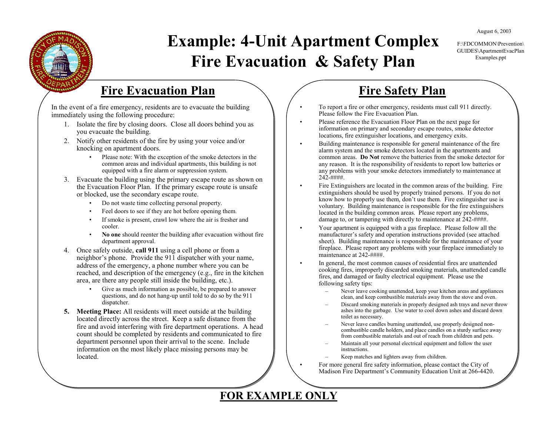August 6, 2003

F:\FDCOMMON\Prevention\GUIDES\ApartmentEvacPlan Examples.ppt

# **Example: 4-Unit Apartment Complex Fire Evacuation & Safety Plan**

•

•

•

•

#### **Fire Evacuation Plan**

In the event of a fire emergency, residents are to evacuate the building immediately using the following procedure:

- 1. Isolate the fire by closing doors. Close all doors behind you as you evacuate the building.
- 2. Notify other residents of the fire by using your voice and/or knocking on apartment doors.
	- Please note: With the exception of the smoke detectors in the common areas and individual apartments, this building is not equipped with a fire alarm or suppression system.
- 3. Evacuate the building using the primary escape route as shown on the Evacuation Floor Plan. If the primary escape route is unsafe or blocked, use the secondary escape route.
	- •Do not waste time collecting personal property.
	- •Feel doors to see if they are hot before opening them.
	- • If smoke is present, crawl low where the air is fresher and cooler.
	- • **No one** should reenter the building after evacuation without fire department approval.
- 4. Once safely outside, **call 911** using a cell phone or from a neighbor's phone. Provide the 911 dispatcher with your name, address of the emergency, a phone number where you can be reached, and description of the emergency (e.g., fire in the kitchen area, are there any people still inside the building, etc.).
	- • Give as much information as possible, be prepared to answer questions, and do not hang-up until told to do so by the 911 dispatcher.
- **5. Meeting Place:** All residents will meet outside at the building located directly across the street. Keep a safe distance from the fire and avoid interfering with fire department operations. A head count should be completed by residents and communicated to fire department personnel upon their arrival to the scene. Include information on the most likely place missing persons may be located.

## **Fire Safety Plan**

- • To report a fire or other emergency, residents must call 911 directly. Please follow the Fire Evacuation Plan.
- • Please reference the Evacuation Floor Plan on the next page for information on primary and secondary escape routes, smoke detector locations, fire extinguisher locations, and emergency exits.
- Building maintenance is responsible for general maintenance of the fire alarm system and the smoke detectors located in the apartments and common areas. **Do Not** remove the batteries from the smoke detector for any reason. It is the responsibility of residents to report low batteries or any problems with your smoke detectors immediately to maintenance at 242-####.
- Fire Extinguishers are located in the common areas of the building. Fire extinguishers should be used by properly trained persons. If you do not know how to properly use them, don't use them. Fire extinguisher use is voluntary. Building maintenance is responsible for the fire extinguishers located in the building common areas. Please report any problems, damage to, or tampering with directly to maintenance at  $242$ -####.
- Your apartment is equipped with a gas fireplace. Please follow all the manufacturer's safety and operation instructions provided (see attached sheet). Building maintenance is responsible for the maintenance of your fireplace. Please report any problems with your fireplace immediately to maintenance at 242-####
- In general, the most common causes of residential fires are unattended cooking fires, improperly discarded smoking materials, unattended candle fires, and damaged or faulty electrical equipment. Please use the following safety tips:
	- – Never leave cooking unattended, keep your kitchen areas and appliances clean, and keep combustible materials away from the stove and oven.
	- Discard smoking materials in properly designed ash trays and never throw ashes into the garbage. Use water to cool down ashes and discard down toilet as necessary.
	- Never leave candles burning unattended, use properly designed noncombustible candle holders, and place candles on a sturdy surface away from combustible materials and out of reach from children and pets.
	- Maintain all your personal electrical equipment and follow the user instructions.
		- Keep matches and lighters away from children.
	- For more general fire safety information, please contact the City of Madison Fire Department's Community Education Unit at 266-4420.

#### **FOR EXAMPLE ONLY**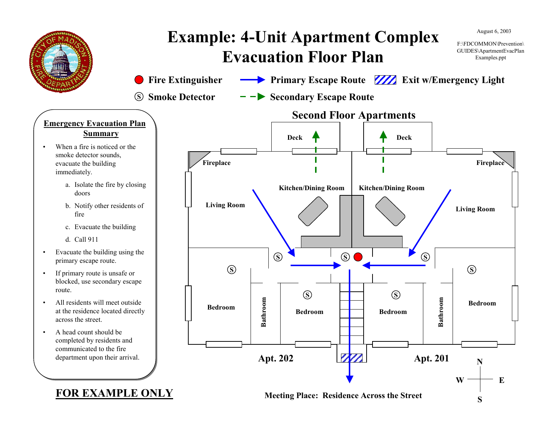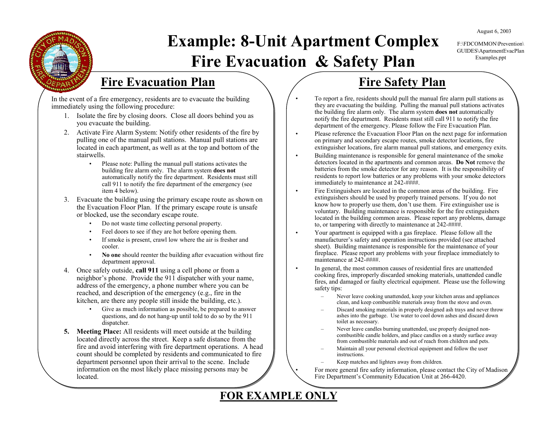August 6, 2003

#### F:\FDCOMMON\Prevention\GUIDES\ApartmentEvacPlan Examples.ppt

# **Example: 8-Unit Apartment Complex Fire Evacuation & Safety Plan**

•

•

•

•

•

## **Fire Evacuation Plan**

In the event of a fire emergency, residents are to evacuate the building immediately using the following procedure:

- 1. Isolate the fire by closing doors. Close all doors behind you as you evacuate the building.
- 2. Activate Fire Alarm System: Notify other residents of the fire by pulling one of the manual pull stations. Manual pull stations are located in each apartment, as well as at the top and bottom of the stairwells.
	- • Please note: Pulling the manual pull stations activates the building fire alarm only. The alarm system **does not**  automatically notify the fire department. Residents must still call 911 to notify the fire department of the emergency (see item 4 below).
- 3. Evacuate the building using the primary escape route as shown on the Evacuation Floor Plan. If the primary escape route is unsafe or blocked, use the secondary escape route.
	- •Do not waste time collecting personal property.
	- •Feel doors to see if they are hot before opening them.
	- • If smoke is present, crawl low where the air is fresher and cooler.
	- • **No one** should reenter the building after evacuation without fire department approval.
- 4. Once safely outside, **call 911** using a cell phone or from a neighbor's phone. Provide the 911 dispatcher with your name, address of the emergency, a phone number where you can be reached, and description of the emergency (e.g., fire in the kitchen, are there any people still inside the building, etc.).
	- • Give as much information as possible, be prepared to answer questions, and do not hang-up until told to do so by the 911 dispatcher.
- **5. Meeting Place:** All residents will meet outside at the building located directly across the street. Keep a safe distance from the fire and avoid interfering with fire department operations. A head count should be completed by residents and communicated to fire department personnel upon their arrival to the scene. Include information on the most likely place missing persons may be located.

## **Fire Safety Plan**

- To report a fire, residents should pull the manual fire alarm pull stations as they are evacuating the building. Pulling the manual pull stations activates the building fire alarm only. The alarm system **does not** automatically notify the fire department. Residents must still call 911 to notify the fire department of the emergency. Please follow the Fire Evacuation Plan.
- • Please reference the Evacuation Floor Plan on the next page for information on primary and secondary escape routes, smoke detector locations, fire extinguisher locations, fire alarm manual pull stations, and emergency exits.
- Building maintenance is responsible for general maintenance of the smoke detectors located in the apartments and common areas. **Do Not** remove the batteries from the smoke detector for any reason. It is the responsibility of residents to report low batteries or any problems with your smoke detectors immediately to maintenance at 242-####.
- • Fire Extinguishers are located in the common areas of the building. Fire extinguishers should be used by properly trained persons. If you do not know how to properly use them, don't use them. Fire extinguisher use is voluntary. Building maintenance is responsible for the fire extinguishers located in the building common areas. Please report any problems, damage to, or tampering with directly to maintenance at  $242-$ *####*.
- Your apartment is equipped with a gas fireplace. Please follow all the manufacturer's safety and operation instructions provided (see attached sheet). Building maintenance is responsible for the maintenance of your fireplace. Please report any problems with your fireplace immediately to maintenance at 242-####.
- In general, the most common causes of residential fires are unattended cooking fires, improperly discarded smoking materials, unattended candle fires, and damaged or faulty electrical equipment. Please use the following safety tips:
	- $\sim$  Never leave cooking unattended, keep your kitchen areas and appliances clean, and keep combustible materials away from the stove and oven.
	- Discard smoking materials in properly designed ash trays and never throw ashes into the garbage. Use water to cool down ashes and discard down toilet as necessary.
	- Never leave candles burning unattended, use properly designed noncombustible candle holders, and place candles on a sturdy surface away from combustible materials and out of reach from children and pets.
	- Maintain all your personal electrical equipment and follow the user instructions.
	- Keep matches and lighters away from children.

 For more general fire safety information, please contact the City of Madison Fire Department's Community Education Unit at 266-4420.

#### **FOR EXAMPLE ONLY**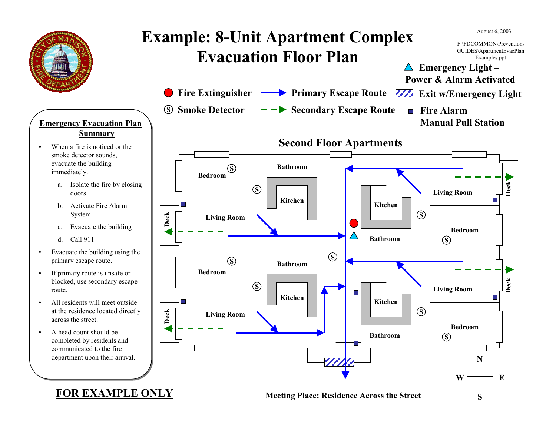

•

#### **Emergency Evacuation Plan Summary**

- When a fire is noticed or the smoke detector sounds, evacuate the building immediately.
	- a. Isolate the fire by closing doors
	- b. Activate Fire Alarm System
	- c. Evacuate the building
	- d. Call 911
- • Evacuate the building using the primary escape route.
- • If primary route is unsafe or blocked, use secondary escape route.
- • All residents will meet outside at the residence located directly across the street.
- • A head count should be completed by residents and communicated to the fire department upon their arrival.



#### **FOR EXAMPLE ONLY**

#### **Meeting Place: Residence Across the Street**

**S**

 $W \rightarrow E$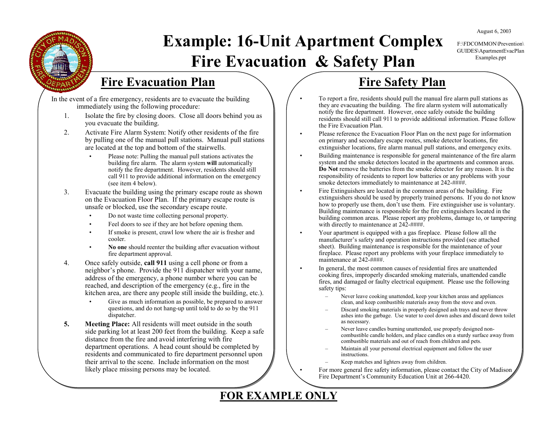August 6, 2003

#### F:\FDCOMMON\Prevention\GUIDES\ApartmentEvacPlan Examples.ppt

# **Example: 16-Unit Apartment Complex Fire Evacuation & Safety Plan**

•

•

•

•

•

•

•

### **Fire Evacuation Plan**

In the event of a fire emergency, residents are to evacuate the building immediately using the following procedure:

- 1. Isolate the fire by closing doors. Close all doors behind you as you evacuate the building.
- 2. Activate Fire Alarm System: Notify other residents of the fire by pulling one of the manual pull stations. Manual pull stations are located at the top and bottom of the stairwells.
	- • Please note: Pulling the manual pull stations activates the building fire alarm. The alarm system **will** automatically notify the fire department. However, residents should still call 911 to provide additional information on the emergency (see item 4 below).
- 3. Evacuate the building using the primary escape route as shown on the Evacuation Floor Plan. If the primary escape route is unsafe or blocked, use the secondary escape route.
	- •Do not waste time collecting personal property.
	- •Feel doors to see if they are hot before opening them.
	- • If smoke is present, crawl low where the air is fresher and cooler.
	- • **No one** should reenter the building after evacuation without fire department approval.
- 4. Once safely outside, **call 911** using a cell phone or from a neighbor's phone. Provide the 911 dispatcher with your name, address of the emergency, a phone number where you can be reached, and description of the emergency (e.g., fire in the kitchen area, are there any people still inside the building, etc.).
	- Give as much information as possible, be prepared to answer questions, and do not hang-up until told to do so by the 911 dispatcher.
- **5. Meeting Place:** All residents will meet outside in the south side parking lot at least 200 feet from the building. Keep a safe distance from the fire and avoid interfering with fire department operations. A head count should be completed by residents and communicated to fire department personnel upon their arrival to the scene. Include information on the most likely place missing persons may be located.

## **Fire Safety Plan**

- To report a fire, residents should pull the manual fire alarm pull stations as they are evacuating the building. The fire alarm system will automatically notify the fire department. However, once safely outside the building residents should still call 911 to provide additional information. Please follow the Fire Evacuation Plan.
- Please reference the Evacuation Floor Plan on the next page for information on primary and secondary escape routes, smoke detector locations, fire extinguisher locations, fire alarm manual pull stations, and emergency exits.
- Building maintenance is responsible for general maintenance of the fire alarm system and the smoke detectors located in the apartments and common areas. **Do Not** remove the batteries from the smoke detector for any reason. It is the responsibility of residents to report low batteries or any problems with your smoke detectors immediately to maintenance at  $242-$ ####.
- Fire Extinguishers are located in the common areas of the building. Fire extinguishers should be used by properly trained persons. If you do not know how to properly use them, don't use them. Fire extinguisher use is voluntary. Building maintenance is responsible for the fire extinguishers located in the building common areas. Please report any problems, damage to, or tampering with directly to maintenance at  $24\overline{2}$ -####.
- Your apartment is equipped with a gas fireplace. Please follow all the manufacturer's safety and operation instructions provided (see attached sheet). Building maintenance is responsible for the maintenance of your fireplace. Please report any problems with your fireplace immediately to maintenance at 242-####.
- In general, the most common causes of residential fires are unattended cooking fires, improperly discarded smoking materials, unattended candle fires, and damaged or faulty electrical equipment. Please use the following safety tips:
	- – Never leave cooking unattended, keep your kitchen areas and appliances clean, and keep combustible materials away from the stove and oven.
	- Discard smoking materials in properly designed ash trays and never throw ashes into the garbage. Use water to cool down ashes and discard down toilet as necessary.
	- Never leave candles burning unattended, use properly designed noncombustible candle holders, and place candles on a sturdy surface away from combustible materials and out of reach from children and pets.
	- Maintain all your personal electrical equipment and follow the user instructions.
	- Keep matches and lighters away from children.
- For more general fire safety information, please contact the City of Madison Fire Department's Community Education Unit at 266-4420.

#### **FOR EXAMPLE ONLY**